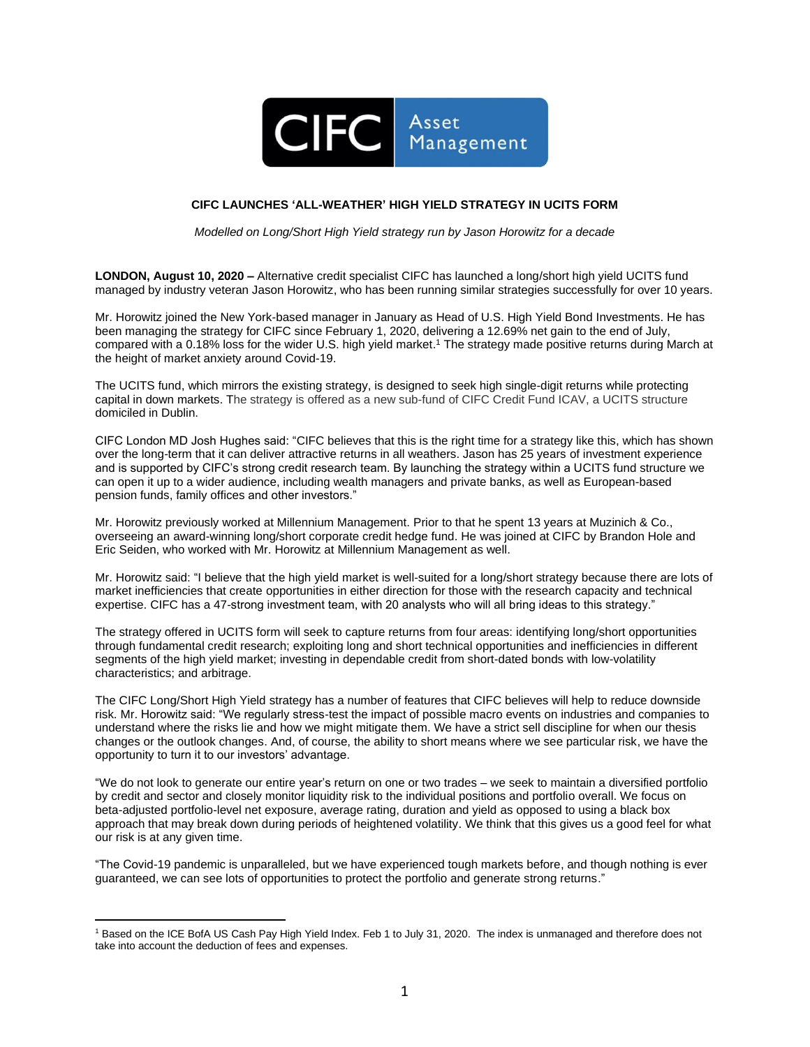

## **CIFC LAUNCHES 'ALL-WEATHER' HIGH YIELD STRATEGY IN UCITS FORM**

*Modelled on Long/Short High Yield strategy run by Jason Horowitz for a decade*

**LONDON, August 10, 2020 –** Alternative credit specialist CIFC has launched a long/short high yield UCITS fund managed by industry veteran Jason Horowitz, who has been running similar strategies successfully for over 10 years.

Mr. Horowitz joined the New York-based manager in January as Head of U.S. High Yield Bond Investments. He has been managing the strategy for CIFC since February 1, 2020, delivering a 12.69% net gain to the end of July, compared with a 0.18% loss for the wider U.S. high yield market. <sup>1</sup> The strategy made positive returns during March at the height of market anxiety around Covid-19.

The UCITS fund, which mirrors the existing strategy, is designed to seek high single-digit returns while protecting capital in down markets. The strategy is offered as a new sub-fund of CIFC Credit Fund ICAV, a UCITS structure domiciled in Dublin.

CIFC London MD Josh Hughes said: "CIFC believes that this is the right time for a strategy like this, which has shown over the long-term that it can deliver attractive returns in all weathers. Jason has 25 years of investment experience and is supported by CIFC's strong credit research team. By launching the strategy within a UCITS fund structure we can open it up to a wider audience, including wealth managers and private banks, as well as European-based pension funds, family offices and other investors."

Mr. Horowitz previously worked at Millennium Management. Prior to that he spent 13 years at Muzinich & Co., overseeing an award-winning long/short corporate credit hedge fund. He was joined at CIFC by Brandon Hole and Eric Seiden, who worked with Mr. Horowitz at Millennium Management as well.

Mr. Horowitz said: "I believe that the high yield market is well-suited for a long/short strategy because there are lots of market inefficiencies that create opportunities in either direction for those with the research capacity and technical expertise. CIFC has a 47-strong investment team, with 20 analysts who will all bring ideas to this strategy."

The strategy offered in UCITS form will seek to capture returns from four areas: identifying long/short opportunities through fundamental credit research; exploiting long and short technical opportunities and inefficiencies in different segments of the high yield market; investing in dependable credit from short-dated bonds with low-volatility characteristics; and arbitrage.

The CIFC Long/Short High Yield strategy has a number of features that CIFC believes will help to reduce downside risk. Mr. Horowitz said: "We regularly stress-test the impact of possible macro events on industries and companies to understand where the risks lie and how we might mitigate them. We have a strict sell discipline for when our thesis changes or the outlook changes. And, of course, the ability to short means where we see particular risk, we have the opportunity to turn it to our investors' advantage.

"We do not look to generate our entire year's return on one or two trades – we seek to maintain a diversified portfolio by credit and sector and closely monitor liquidity risk to the individual positions and portfolio overall. We focus on beta-adjusted portfolio-level net exposure, average rating, duration and yield as opposed to using a black box approach that may break down during periods of heightened volatility. We think that this gives us a good feel for what our risk is at any given time.

"The Covid-19 pandemic is unparalleled, but we have experienced tough markets before, and though nothing is ever guaranteed, we can see lots of opportunities to protect the portfolio and generate strong returns."

<sup>1</sup> Based on the ICE BofA US Cash Pay High Yield Index. Feb 1 to July 31, 2020. The index is unmanaged and therefore does not take into account the deduction of fees and expenses.